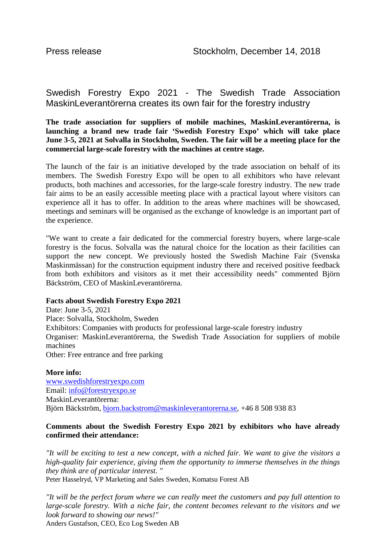## Swedish Forestry Expo 2021 - The Swedish Trade Association MaskinLeverantörerna creates its own fair for the forestry industry

**The trade association for suppliers of mobile machines, MaskinLeverantörerna, is launching a brand new trade fair 'Swedish Forestry Expo' which will take place June 3-5, 2021 at Solvalla in Stockholm, Sweden. The fair will be a meeting place for the commercial large-scale forestry with the machines at centre stage.**

The launch of the fair is an initiative developed by the trade association on behalf of its members. The Swedish Forestry Expo will be open to all exhibitors who have relevant products, both machines and accessories, for the large-scale forestry industry. The new trade fair aims to be an easily accessible meeting place with a practical layout where visitors can experience all it has to offer. In addition to the areas where machines will be showcased, meetings and seminars will be organised as the exchange of knowledge is an important part of the experience.

"We want to create a fair dedicated for the commercial forestry buyers, where large-scale forestry is the focus. Solvalla was the natural choice for the location as their facilities can support the new concept. We previously hosted the Swedish Machine Fair (Svenska Maskinmässan) for the construction equipment industry there and received positive feedback from both exhibitors and visitors as it met their accessibility needs" commented Björn Bäckström, CEO of MaskinLeverantörerna.

## **Facts about Swedish Forestry Expo 2021**

Date: June 3-5, 2021 Place: Solvalla, Stockholm, Sweden Exhibitors: Companies with products for professional large-scale forestry industry Organiser: MaskinLeverantörerna, the Swedish Trade Association for suppliers of mobile machines Other: Free entrance and free parking

## **More info:**

[www.swedishforestryexpo.com](http://www.swedishforestryexpo.com/) Email: [info@forestryexpo.se](mailto:info@forestryexpo.se) MaskinLeverantörerna: Björn Bäckström, [bjorn.backstrom@maskinleverantorerna.se,](mailto:bjorn.backstrom@maskinleverantorerna.se) +46 8 508 938 83

## **Comments about the Swedish Forestry Expo 2021 by exhibitors who have already confirmed their attendance:**

*"It will be exciting to test a new concept, with a niched fair. We want to give the visitors a high-quality fair experience, giving them the opportunity to immerse themselves in the things they think are of particular interest. "*

Peter Hasselryd, VP Marketing and Sales Sweden, Komatsu Forest AB

*"It will be the perfect forum where we can really meet the customers and pay full attention to large-scale forestry. With a niche fair, the content becomes relevant to the visitors and we look forward to showing our news!"* Anders Gustafson, CEO, Eco Log Sweden AB